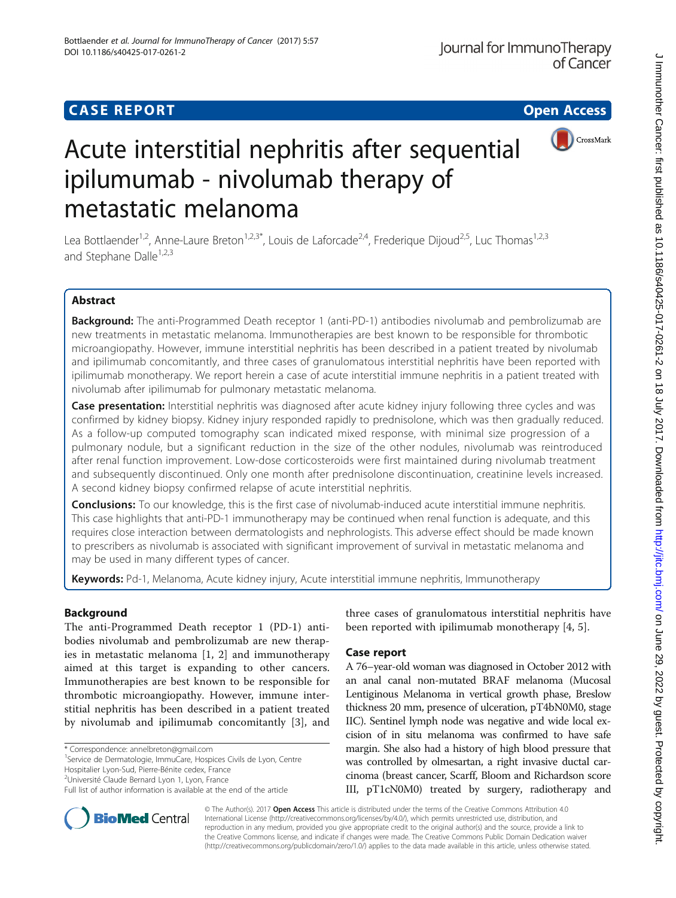# **CASE REPORT CASE REPORT CASE REPORT**



# Acute interstitial nephritis after sequential ipilumumab - nivolumab therapy of metastatic melanoma

Lea Bottlaender<sup>1,2</sup>, Anne-Laure Breton<sup>1,2,3\*</sup>, Louis de Laforcade<sup>2,4</sup>, Frederique Dijoud<sup>2,5</sup>, Luc Thomas<sup>1,2,3</sup> and Stephane Dalle<sup>1,2,3</sup>

# Abstract

Background: The anti-Programmed Death receptor 1 (anti-PD-1) antibodies nivolumab and pembrolizumab are new treatments in metastatic melanoma. Immunotherapies are best known to be responsible for thrombotic microangiopathy. However, immune interstitial nephritis has been described in a patient treated by nivolumab and ipilimumab concomitantly, and three cases of granulomatous interstitial nephritis have been reported with ipilimumab monotherapy. We report herein a case of acute interstitial immune nephritis in a patient treated with nivolumab after ipilimumab for pulmonary metastatic melanoma.

**Case presentation:** Interstitial nephritis was diagnosed after acute kidney injury following three cycles and was confirmed by kidney biopsy. Kidney injury responded rapidly to prednisolone, which was then gradually reduced. As a follow-up computed tomography scan indicated mixed response, with minimal size progression of a pulmonary nodule, but a significant reduction in the size of the other nodules, nivolumab was reintroduced after renal function improvement. Low-dose corticosteroids were first maintained during nivolumab treatment and subsequently discontinued. Only one month after prednisolone discontinuation, creatinine levels increased. A second kidney biopsy confirmed relapse of acute interstitial nephritis.

**Conclusions:** To our knowledge, this is the first case of nivolumab-induced acute interstitial immune nephritis. This case highlights that anti-PD-1 immunotherapy may be continued when renal function is adequate, and this requires close interaction between dermatologists and nephrologists. This adverse effect should be made known to prescribers as nivolumab is associated with significant improvement of survival in metastatic melanoma and may be used in many different types of cancer.

Keywords: Pd-1, Melanoma, Acute kidney injury, Acute interstitial immune nephritis, Immunotherapy

# Background

The anti-Programmed Death receptor 1 (PD-1) antibodies nivolumab and pembrolizumab are new therapies in metastatic melanoma [\[1](#page-3-0), [2\]](#page-3-0) and immunotherapy aimed at this target is expanding to other cancers. Immunotherapies are best known to be responsible for thrombotic microangiopathy. However, immune interstitial nephritis has been described in a patient treated by nivolumab and ipilimumab concomitantly [[3\]](#page-3-0), and

<sup>1</sup>Service de Dermatologie, ImmuCare, Hospices Civils de Lyon, Centre Hospitalier Lyon-Sud, Pierre-Bénite cedex, France

<sup>2</sup>Université Claude Bernard Lyon 1, Lyon, France

three cases of granulomatous interstitial nephritis have been reported with ipilimumab monotherapy [\[4](#page-3-0), [5](#page-3-0)].

# Case report

A 76–year-old woman was diagnosed in October 2012 with an anal canal non-mutated BRAF melanoma (Mucosal Lentiginous Melanoma in vertical growth phase, Breslow thickness 20 mm, presence of ulceration, pT4bN0M0, stage IIC). Sentinel lymph node was negative and wide local excision of in situ melanoma was confirmed to have safe margin. She also had a history of high blood pressure that was controlled by olmesartan, a right invasive ductal carcinoma (breast cancer, Scarff, Bloom and Richardson score III, pT1cN0M0) treated by surgery, radiotherapy and



© The Author(s). 2017 Open Access This article is distributed under the terms of the Creative Commons Attribution 4.0 International License [\(http://creativecommons.org/licenses/by/4.0/](http://creativecommons.org/licenses/by/4.0/)), which permits unrestricted use, distribution, and reproduction in any medium, provided you give appropriate credit to the original author(s) and the source, provide a link to the Creative Commons license, and indicate if changes were made. The Creative Commons Public Domain Dedication waiver [\(http://creativecommons.org/publicdomain/zero/1.0/](http://creativecommons.org/publicdomain/zero/1.0/)) applies to the data made available in this article, unless otherwise stated.

<sup>\*</sup> Correspondence: [annelbreton@gmail.com](mailto:annelbreton@gmail.com) <sup>1</sup>

Full list of author information is available at the end of the article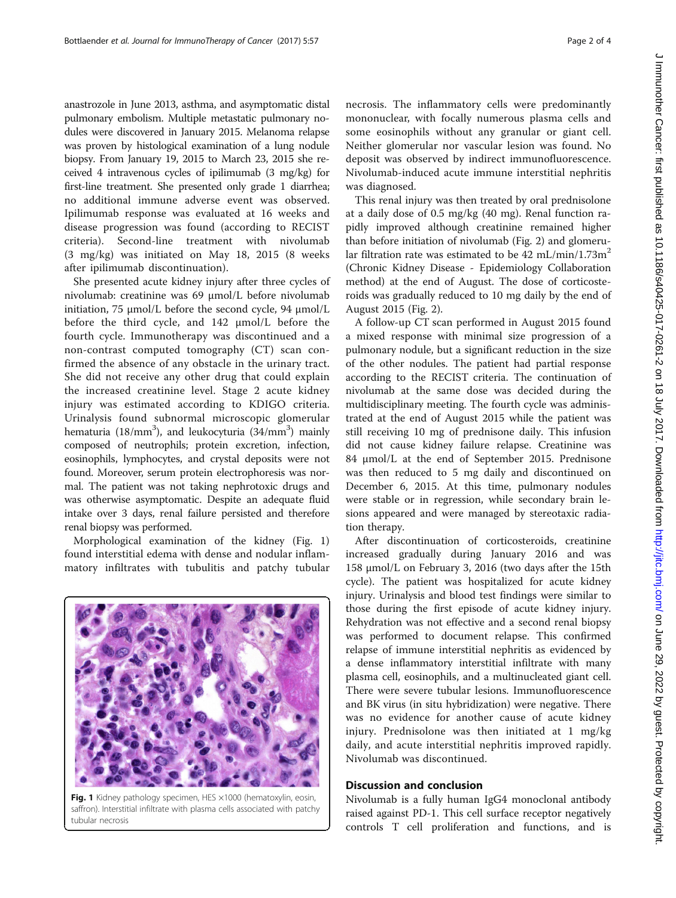anastrozole in June 2013, asthma, and asymptomatic distal pulmonary embolism. Multiple metastatic pulmonary nodules were discovered in January 2015. Melanoma relapse was proven by histological examination of a lung nodule biopsy. From January 19, 2015 to March 23, 2015 she received 4 intravenous cycles of ipilimumab (3 mg/kg) for first-line treatment. She presented only grade 1 diarrhea; no additional immune adverse event was observed. Ipilimumab response was evaluated at 16 weeks and disease progression was found (according to RECIST criteria). Second-line treatment with nivolumab (3 mg/kg) was initiated on May 18, 2015 (8 weeks after ipilimumab discontinuation).

She presented acute kidney injury after three cycles of nivolumab: creatinine was 69 μmol/L before nivolumab initiation, 75 μmol/L before the second cycle, 94 μmol/L before the third cycle, and 142 μmol/L before the fourth cycle. Immunotherapy was discontinued and a non-contrast computed tomography (CT) scan confirmed the absence of any obstacle in the urinary tract. She did not receive any other drug that could explain the increased creatinine level. Stage 2 acute kidney injury was estimated according to KDIGO criteria. Urinalysis found subnormal microscopic glomerular hematuria (18/mm<sup>3</sup>), and leukocyturia (34/mm<sup>3</sup>) mainly composed of neutrophils; protein excretion, infection, eosinophils, lymphocytes, and crystal deposits were not found. Moreover, serum protein electrophoresis was normal. The patient was not taking nephrotoxic drugs and was otherwise asymptomatic. Despite an adequate fluid intake over 3 days, renal failure persisted and therefore renal biopsy was performed.

Morphological examination of the kidney (Fig. 1) found interstitial edema with dense and nodular inflammatory infiltrates with tubulitis and patchy tubular



Fig. 1 Kidney pathology specimen, HES ×1000 (hematoxylin, eosin, saffron). Interstitial infiltrate with plasma cells associated with patchy tubular necrosis

necrosis. The inflammatory cells were predominantly mononuclear, with focally numerous plasma cells and some eosinophils without any granular or giant cell. Neither glomerular nor vascular lesion was found. No deposit was observed by indirect immunofluorescence. Nivolumab-induced acute immune interstitial nephritis was diagnosed.

This renal injury was then treated by oral prednisolone at a daily dose of 0.5 mg/kg (40 mg). Renal function rapidly improved although creatinine remained higher than before initiation of nivolumab (Fig. [2\)](#page-2-0) and glomerular filtration rate was estimated to be  $42 \text{ mL/min}/1.73 \text{m}^2$ (Chronic Kidney Disease - Epidemiology Collaboration method) at the end of August. The dose of corticosteroids was gradually reduced to 10 mg daily by the end of August 2015 (Fig. [2](#page-2-0)).

A follow-up CT scan performed in August 2015 found a mixed response with minimal size progression of a pulmonary nodule, but a significant reduction in the size of the other nodules. The patient had partial response according to the RECIST criteria. The continuation of nivolumab at the same dose was decided during the multidisciplinary meeting. The fourth cycle was administrated at the end of August 2015 while the patient was still receiving 10 mg of prednisone daily. This infusion did not cause kidney failure relapse. Creatinine was 84 μmol/L at the end of September 2015. Prednisone was then reduced to 5 mg daily and discontinued on December 6, 2015. At this time, pulmonary nodules were stable or in regression, while secondary brain lesions appeared and were managed by stereotaxic radiation therapy.

After discontinuation of corticosteroids, creatinine increased gradually during January 2016 and was 158 μmol/L on February 3, 2016 (two days after the 15th cycle). The patient was hospitalized for acute kidney injury. Urinalysis and blood test findings were similar to those during the first episode of acute kidney injury. Rehydration was not effective and a second renal biopsy was performed to document relapse. This confirmed relapse of immune interstitial nephritis as evidenced by a dense inflammatory interstitial infiltrate with many plasma cell, eosinophils, and a multinucleated giant cell. There were severe tubular lesions. Immunofluorescence and BK virus (in situ hybridization) were negative. There was no evidence for another cause of acute kidney injury. Prednisolone was then initiated at 1 mg/kg daily, and acute interstitial nephritis improved rapidly. Nivolumab was discontinued.

## Discussion and conclusion

Nivolumab is a fully human IgG4 monoclonal antibody raised against PD-1. This cell surface receptor negatively controls T cell proliferation and functions, and is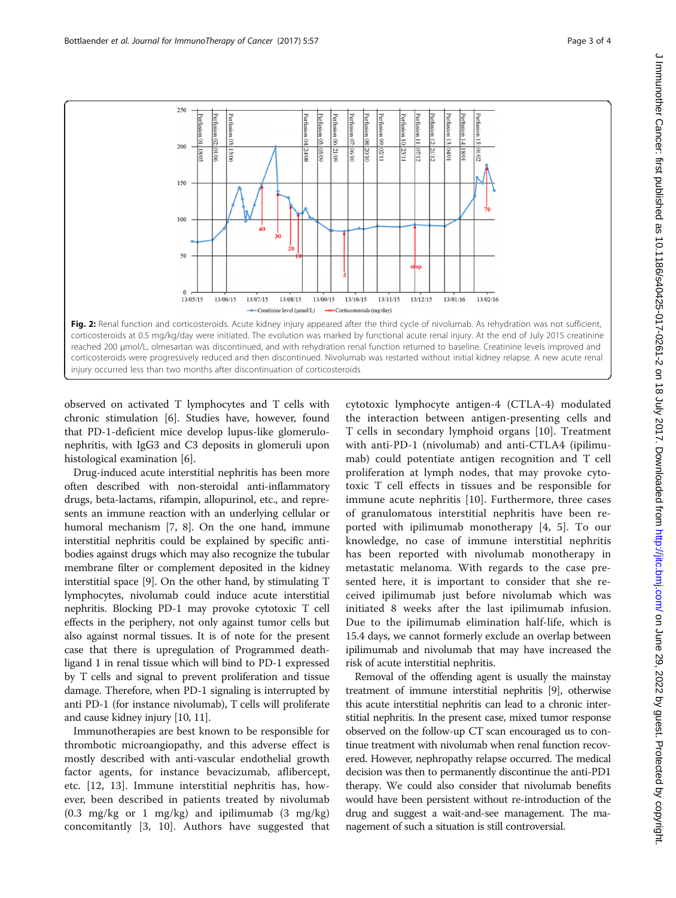<span id="page-2-0"></span>

Fig. 2: Renal function and corticosteroids. Acute kidney injury appeared after the third cycle of nivolumab. As rehydration was not sufficient, corticosteroids at 0.5 mg/kg/day were initiated. The evolution was marked by functional acute renal injury. At the end of July 2015 creatinine reached 200 μmol/L, olmesartan was discontinued, and with rehydration renal function returned to baseline. Creatinine levels improved and corticosteroids were progressively reduced and then discontinued. Nivolumab was restarted without initial kidney relapse. A new acute renal injury occurred less than two months after discontinuation of corticosteroids

observed on activated T lymphocytes and T cells with chronic stimulation [\[6](#page-3-0)]. Studies have, however, found that PD-1-deficient mice develop lupus-like glomerulonephritis, with IgG3 and C3 deposits in glomeruli upon histological examination [\[6](#page-3-0)].

Drug-induced acute interstitial nephritis has been more often described with non-steroidal anti-inflammatory drugs, beta-lactams, rifampin, allopurinol, etc., and represents an immune reaction with an underlying cellular or humoral mechanism [\[7](#page-3-0), [8\]](#page-3-0). On the one hand, immune interstitial nephritis could be explained by specific antibodies against drugs which may also recognize the tubular membrane filter or complement deposited in the kidney interstitial space [\[9](#page-3-0)]. On the other hand, by stimulating T lymphocytes, nivolumab could induce acute interstitial nephritis. Blocking PD-1 may provoke cytotoxic T cell effects in the periphery, not only against tumor cells but also against normal tissues. It is of note for the present case that there is upregulation of Programmed deathligand 1 in renal tissue which will bind to PD-1 expressed by T cells and signal to prevent proliferation and tissue damage. Therefore, when PD-1 signaling is interrupted by anti PD-1 (for instance nivolumab), T cells will proliferate and cause kidney injury [[10](#page-3-0), [11\]](#page-3-0).

Immunotherapies are best known to be responsible for thrombotic microangiopathy, and this adverse effect is mostly described with anti-vascular endothelial growth factor agents, for instance bevacizumab, aflibercept, etc. [[12, 13](#page-3-0)]. Immune interstitial nephritis has, however, been described in patients treated by nivolumab  $(0.3 \text{ mg/kg} \text{ or } 1 \text{ mg/kg})$  and ipilimumab  $(3 \text{ mg/kg})$ concomitantly [[3, 10\]](#page-3-0). Authors have suggested that cytotoxic lymphocyte antigen-4 (CTLA-4) modulated the interaction between antigen-presenting cells and T cells in secondary lymphoid organs [[10\]](#page-3-0). Treatment with anti-PD-1 (nivolumab) and anti-CTLA4 (ipilimumab) could potentiate antigen recognition and T cell proliferation at lymph nodes, that may provoke cytotoxic T cell effects in tissues and be responsible for immune acute nephritis [\[10](#page-3-0)]. Furthermore, three cases of granulomatous interstitial nephritis have been reported with ipilimumab monotherapy [\[4](#page-3-0), [5\]](#page-3-0). To our knowledge, no case of immune interstitial nephritis has been reported with nivolumab monotherapy in metastatic melanoma. With regards to the case presented here, it is important to consider that she received ipilimumab just before nivolumab which was initiated 8 weeks after the last ipilimumab infusion. Due to the ipilimumab elimination half-life, which is 15.4 days, we cannot formerly exclude an overlap between ipilimumab and nivolumab that may have increased the risk of acute interstitial nephritis.

Removal of the offending agent is usually the mainstay treatment of immune interstitial nephritis [\[9\]](#page-3-0), otherwise this acute interstitial nephritis can lead to a chronic interstitial nephritis. In the present case, mixed tumor response observed on the follow-up CT scan encouraged us to continue treatment with nivolumab when renal function recovered. However, nephropathy relapse occurred. The medical decision was then to permanently discontinue the anti-PD1 therapy. We could also consider that nivolumab benefits would have been persistent without re-introduction of the drug and suggest a wait-and-see management. The management of such a situation is still controversial.